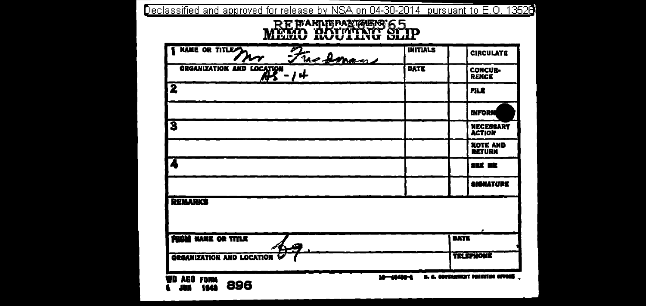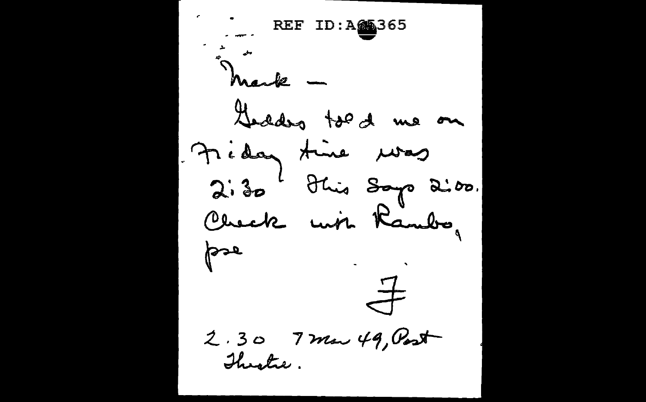$REFID: A \n **365**$ Mark -Geodos tod de me on Fiday time was  $2.30$  blue says 2:00. Check with Rambo, pse  $\frac{4}{\sqrt{2}}$ 2.30 7 mar 49, Post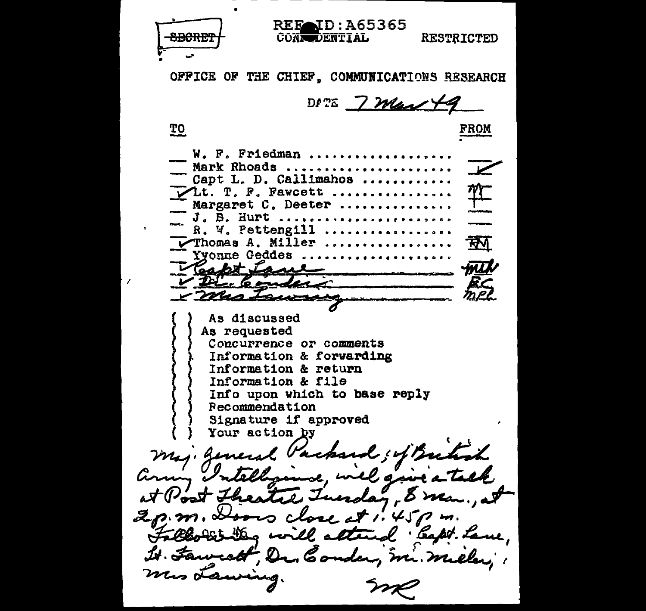**REF** ID: A65365 **CONSOLENTIAL RESTRICTED** OFFICE OF THE CHIEF. COMMUNICATIONS RESEARCH DATE 7 May 49 **TO** <u>FROM</u> W. F. Friedman ......... Mark Rhoads ..................  $\overline{\mathbf{V}}$ Capt L. D. Callimahos ......... 弈 VLt. T. F. Fawcett ................ Margaret C. Deeter ............ "J. B. Hurt ................. R. W. Pettengill .................. ৰ্ক্স Thomas A. Miller ................. Yyonne Geddes .................... Capt Lane mit V Die Conder v mas Frances As discussed As requested Concurrence or comments Information & forwarding Information & return Information & file Info upon which to base reply Recommendation Signature if approved Your action by maj. general Vackard ; of Butich aring Intelligence, will give a at Post Theatre Tuesday, 8 man, at 2p.m. Doors close at 1.45pm. Fallo Sit Deg will attend legter Lave, It. Fawerett, Dr. Conder, m. miller, mis Lawing.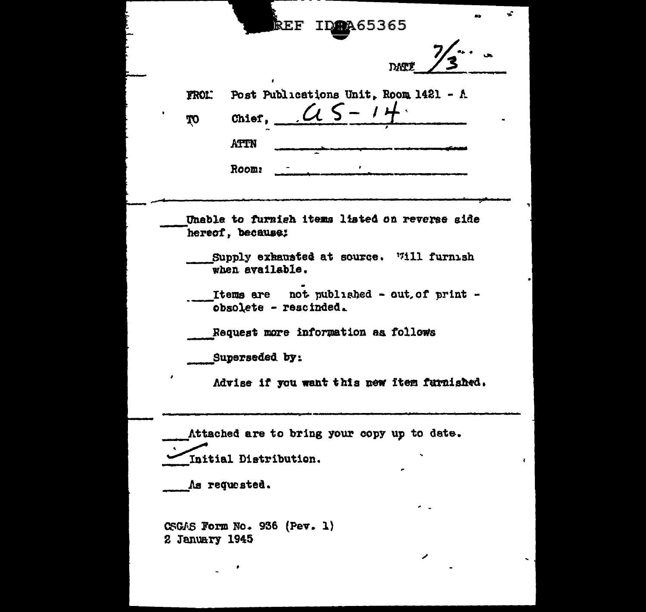|                     | ID <sub>2</sub> 265365<br>$\mathbf{REF}$                           |
|---------------------|--------------------------------------------------------------------|
|                     | <b>DAT!</b>                                                        |
| <b>FROL.</b><br>TO. | Post Publications Unit, Room 1421 - A<br>$\alpha$<br>Chief.        |
|                     | <b>ATTN</b>                                                        |
|                     | Room:                                                              |
|                     | Unable to furnich items listed on reverse side<br>hereof, because; |
|                     | Supply exhausted at source. Will furnish<br>when available.        |
|                     | Items are not published - out of print -<br>obsolete - rescinded.  |
|                     | Request more information as follows                                |
|                     | Superseded by:                                                     |
|                     | Advise if you want this new item furnished.                        |
|                     | Attached are to bring your copy up to date.                        |
|                     | Initial Distribution.                                              |
|                     | As requested.                                                      |
| 2 January 1945      | CSGAS Form No. 936 (Pev. 1)                                        |
|                     |                                                                    |
|                     |                                                                    |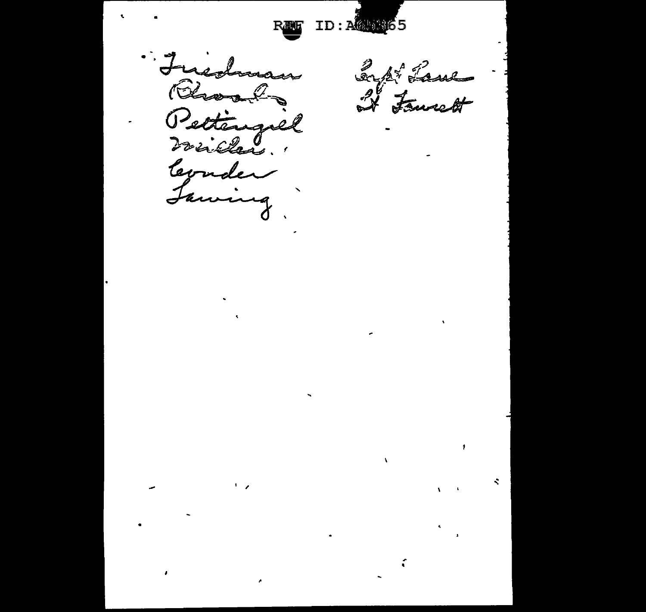ID: ACUBE

Fuedwar Rhoads Pettengiel levader Lawing

 $\pmb{\cdot}$ 

Inpt Laws

 $\pmb{\cdot}$ 

÷

 $\mathbf{v}$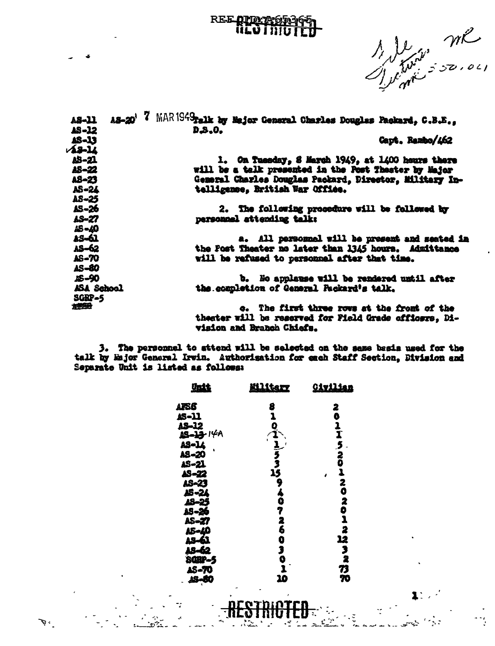## REE OTALE

1 le me

 $1.7<sup>2</sup>$ 

| $A3 - 20'$<br>A8-11 | MARISAtrix by Major General Charles Douglas Packard, C.B.E., |
|---------------------|--------------------------------------------------------------|
| AS-12               | D.S.O.                                                       |
| 18-13               | Capt. Rambo/462                                              |
| $12 - 14$           |                                                              |
| AS-21               | 1. On Tuesday, 8 March 1949, at 1400 hours there             |
| AS-22               | will be a talk presented in the Post Theater by Major        |
| AS-23               | General Charles Douglas Packard, Director, Military In-      |
| AS-24               | telligence, British War Office.                              |
| AS-25               |                                                              |
| AS-26               | 2. The following procedure will be followed by               |
| AS-27               | personnel attending talk:                                    |
| 18-10               |                                                              |
| 13-61               | a. All personnel will be present and seated in               |
| AS-62               | the Post Theater no later than 1345 hours. Admittance        |
| <b>AS-70</b>        | will be refused to personnel after that time.                |
| AS-80               |                                                              |
|                     |                                                              |
| AS-90               | b. No applause will be rendered until after                  |
| ASA School          | the completion of General Packard's talk.                    |
| <b>SGEP-5</b>       |                                                              |
| 透明                  | c. The first three rows at the front of the                  |
|                     | theater will be reserved for Field Grade officers, Di-       |
|                     | <b>vision and Branch Chiefs.</b>                             |

3. The personnel to attend will be selected on the seme besis used for the talk by Major General Irwin. Authorisation for each Staff Section, Division and Separate Unit is listed as follows:

| <u>Unit</u>                           | <u>Mlitery</u>    | <u>Civilian</u>           |
|---------------------------------------|-------------------|---------------------------|
| AFS6                                  | 8                 | 2                         |
|                                       | ı                 | Ô                         |
|                                       |                   |                           |
| <b>15-11<br/>AS-12<br/>15-13</b> -14A |                   | $\frac{1}{1}$             |
|                                       |                   | $\overline{\mathbf{5}}$ . |
| AS-14<br>AS-14                        |                   |                           |
| AS-21                                 |                   | $\frac{2}{0}$             |
| AS-22                                 | $0$ $1$ $53$ $15$ | ī                         |
| AS-23                                 |                   | 2                         |
| AS-24                                 | 940726            | Ö                         |
|                                       |                   | 2                         |
| 18-25<br>18-26                        |                   |                           |
| AS-27                                 |                   | $\overline{\mathbf{a}}$   |
|                                       |                   | 2                         |
| A5-40                                 |                   |                           |
|                                       | $\bullet$         | 12                        |
| $45 - 62$                             | J                 | 3                         |
| <b>SGBP-5</b>                         | ó<br>1            | $\bar{\mathbf{z}}$        |
| AS-70                                 |                   | 73                        |
| 25-80<br>$\mathbf{r}$                 | 10                | 70                        |